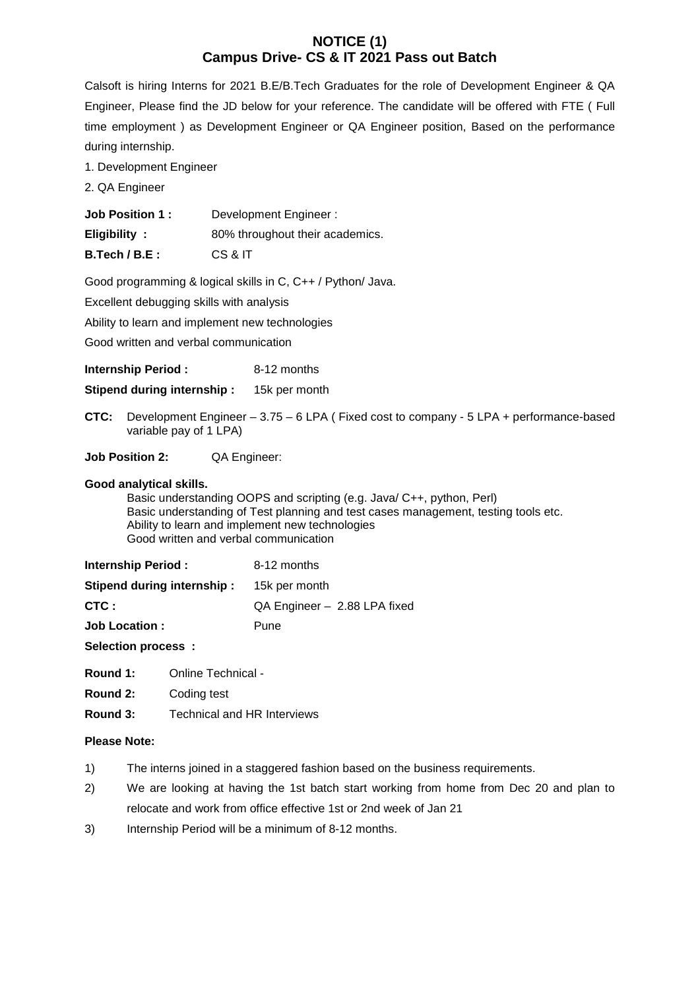# **NOTICE (1) Campus Drive- CS & IT 2021 Pass out Batch**

Calsoft is hiring Interns for 2021 B.E/B.Tech Graduates for the role of Development Engineer & QA Engineer, Please find the JD below for your reference. The candidate will be offered with FTE ( Full time employment ) as Development Engineer or QA Engineer position, Based on the performance during internship.

- 1. Development Engineer
- 2. QA Engineer

| <b>Job Position 1:</b> | Development Engineer:           |
|------------------------|---------------------------------|
| Eligibility:           | 80% throughout their academics. |
| $B.Tech/B.E$ :         | CS & IT                         |

Good programming & logical skills in C, C++ / Python/ Java.

Excellent debugging skills with analysis

Ability to learn and implement new technologies

Good written and verbal communication

**Internship Period :** 8-12 months

**Stipend during internship :** 15k per month

**CTC:** Development Engineer – 3.75 – 6 LPA ( Fixed cost to company - 5 LPA + performance-based variable pay of 1 LPA)

**Job Position 2:** QA Engineer:

#### **Good analytical skills.**

Basic understanding OOPS and scripting (e.g. Java/ C++, python, Perl) Basic understanding of Test planning and test cases management, testing tools etc. Ability to learn and implement new technologies Good written and verbal communication

| <b>Internship Period:</b>  | 8-12 months                  |
|----------------------------|------------------------------|
| Stipend during internship: | 15k per month                |
| CTC :                      | QA Engineer - 2.88 LPA fixed |
| <b>Job Location:</b>       | Pune                         |

**Selection process :**

**Round 1:** Online Technical -

- **Round 2:** Coding test
- **Round 3:** Technical and HR Interviews

# **Please Note:**

- 1) The interns joined in a staggered fashion based on the business requirements.
- 2) We are looking at having the 1st batch start working from home from Dec 20 and plan to relocate and work from office effective 1st or 2nd week of Jan 21
- 3) Internship Period will be a minimum of 8-12 months.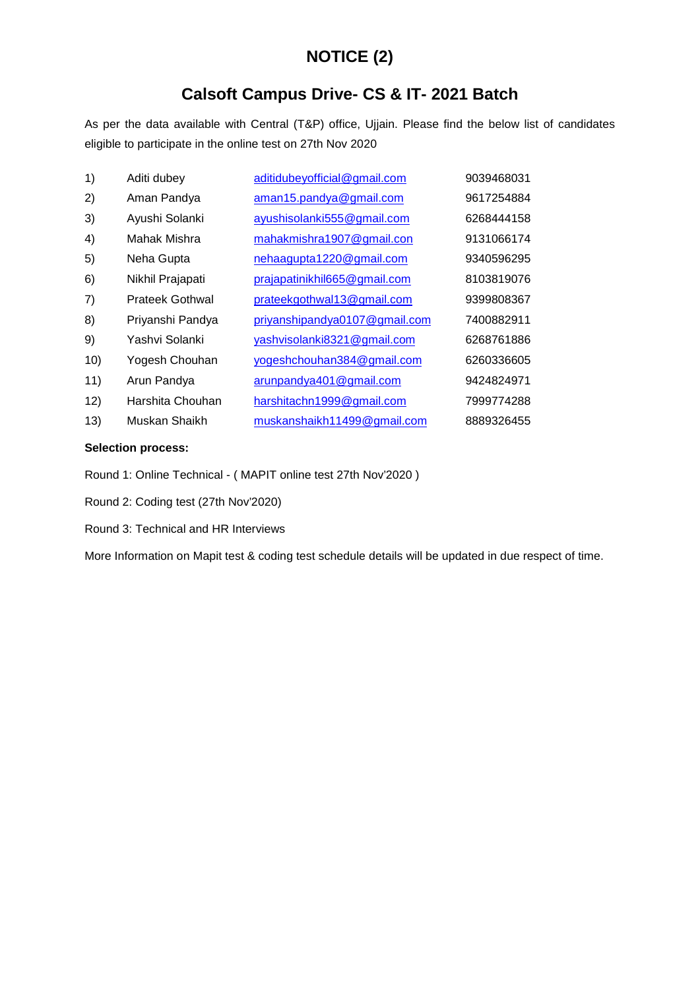# **NOTICE (2)**

# **Calsoft Campus Drive- CS & IT- 2021 Batch**

As per the data available with Central (T&P) office, Ujjain. Please find the below list of candidates eligible to participate in the online test on 27th Nov 2020

| 1)  | Aditi dubey            | aditidubeyofficial@gmail.com  | 9039468031 |
|-----|------------------------|-------------------------------|------------|
| 2)  | Aman Pandya            | aman15.pandya@gmail.com       | 9617254884 |
| 3)  | Ayushi Solanki         | ayushisolanki555@gmail.com    | 6268444158 |
| 4)  | Mahak Mishra           | mahakmishra1907@gmail.con     | 9131066174 |
| 5)  | Neha Gupta             | nehaagupta1220@gmail.com      | 9340596295 |
| 6)  | Nikhil Prajapati       | prajapatinikhil665@gmail.com  | 8103819076 |
| 7)  | <b>Prateek Gothwal</b> | prateekgothwal13@gmail.com    | 9399808367 |
| 8)  | Priyanshi Pandya       | priyanshipandya0107@gmail.com | 7400882911 |
| 9)  | Yashvi Solanki         | yashvisolanki8321@gmail.com   | 6268761886 |
| 10) | Yogesh Chouhan         | yogeshchouhan384@gmail.com    | 6260336605 |
| 11) | Arun Pandya            | arunpandya401@gmail.com       | 9424824971 |
| 12) | Harshita Chouhan       | harshitachn1999@gmail.com     | 7999774288 |
| 13) | Muskan Shaikh          | muskanshaikh11499@gmail.com   | 8889326455 |

# **Selection process:**

Round 1: Online Technical - ( MAPIT online test 27th Nov'2020 )

Round 2: Coding test (27th Nov'2020)

Round 3: Technical and HR Interviews

More Information on Mapit test & coding test schedule details will be updated in due respect of time.